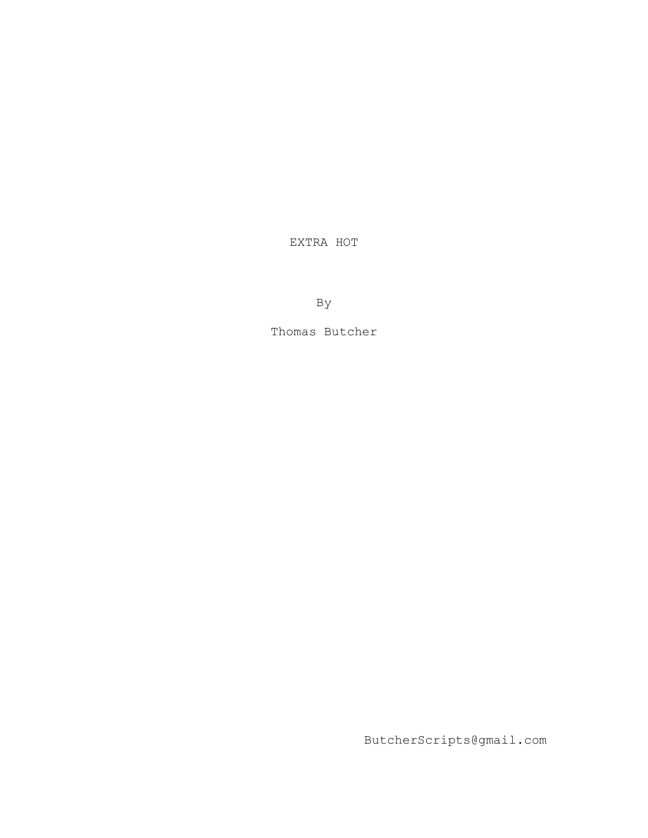EXTRA HOT

By

Thomas Butcher

ButcherScripts@gmail.com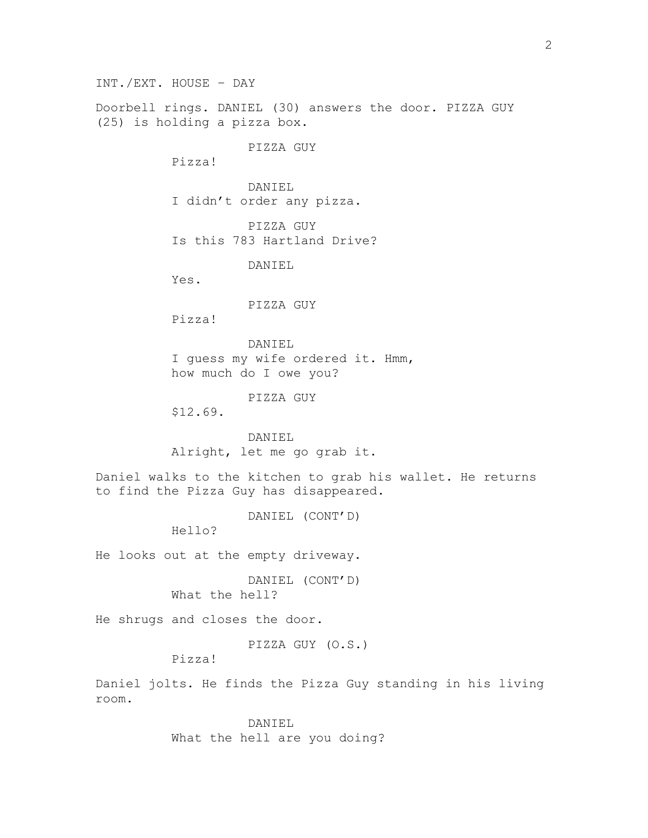INT./EXT. HOUSE – DAY

Doorbell rings. DANIEL (30) answers the door. PIZZA GUY (25) is holding a pizza box.

PIZZA GUY

Pizza!

DANIEL I didn't order any pizza.

PIZZA GUY Is this 783 Hartland Drive?

DANIEL

Yes.

## PIZZA GUY

Pizza!

DANIEL I quess my wife ordered it. Hmm, how much do I owe you?

PIZZA GUY

\$12.69.

DANIEL Alright, let me go grab it.

Daniel walks to the kitchen to grab his wallet. He returns to find the Pizza Guy has disappeared.

DANIEL (CONT'D)

Hello?

He looks out at the empty driveway.

DANIEL (CONT'D) What the hell?

He shrugs and closes the door.

PIZZA GUY (O.S.)

Pizza!

Daniel jolts. He finds the Pizza Guy standing in his living room.

> DANIEL What the hell are you doing?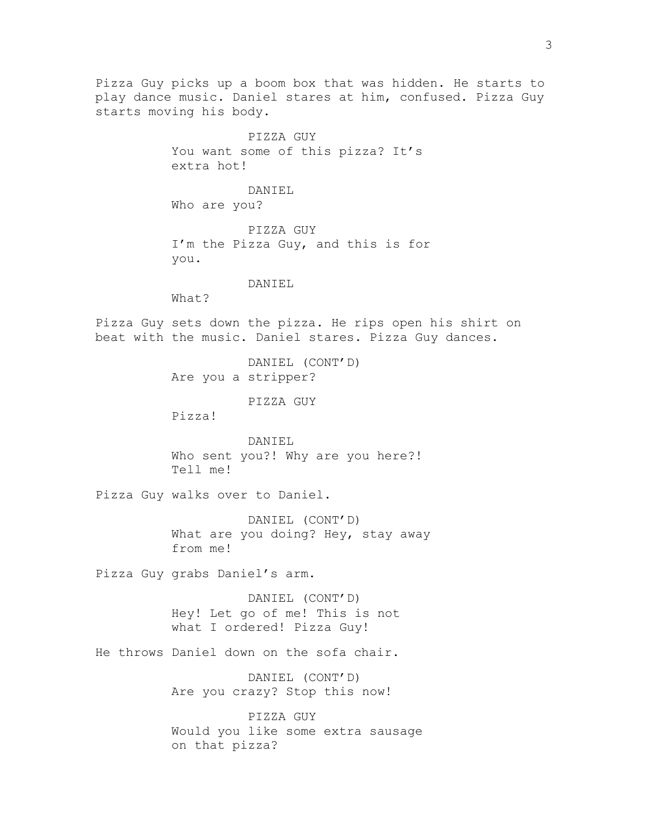Pizza Guy picks up a boom box that was hidden. He starts to play dance music. Daniel stares at him, confused. Pizza Guy starts moving his body. PIZZA GUY You want some of this pizza? It's extra hot! DANIEL Who are you? PIZZA GUY I'm the Pizza Guy, and this is for you. DANIEL What? Pizza Guy sets down the pizza. He rips open his shirt on beat with the music. Daniel stares. Pizza Guy dances. DANIEL (CONT'D) Are you a stripper? PIZZA GUY Pizza! DANIEL Who sent you?! Why are you here?! Tell me! Pizza Guy walks over to Daniel. DANIEL (CONT'D) What are you doing? Hey, stay away from me! Pizza Guy grabs Daniel's arm. DANIEL (CONT'D) Hey! Let go of me! This is not what I ordered! Pizza Guy! He throws Daniel down on the sofa chair. DANIEL (CONT'D) Are you crazy? Stop this now! PIZZA GUY Would you like some extra sausage on that pizza?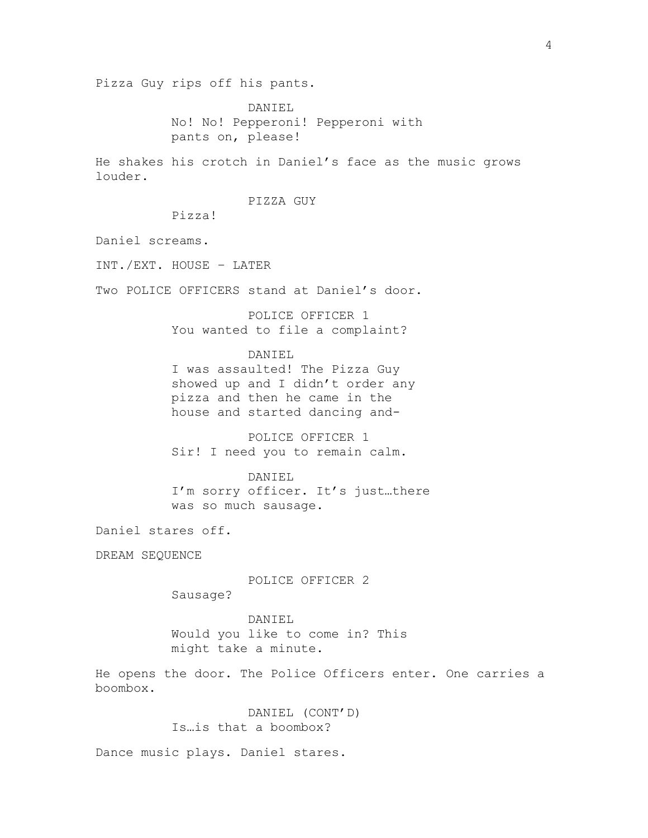Pizza Guy rips off his pants.

DANIEL No! No! Pepperoni! Pepperoni with pants on, please!

He shakes his crotch in Daniel's face as the music grows louder.

PIZZA GUY

Pizza!

Daniel screams.

INT./EXT. HOUSE – LATER

Two POLICE OFFICERS stand at Daniel's door.

POLICE OFFICER 1 You wanted to file a complaint?

## DANIEL

I was assaulted! The Pizza Guy showed up and I didn't order any pizza and then he came in the house and started dancing and-

POLICE OFFICER 1 Sir! I need you to remain calm.

## DANIEL

I'm sorry officer. It's just…there was so much sausage.

Daniel stares off.

DREAM SEQUENCE

POLICE OFFICER 2

Sausage?

DANIEL Would you like to come in? This might take a minute.

He opens the door. The Police Officers enter. One carries a boombox.

> DANIEL (CONT'D) Is…is that a boombox?

Dance music plays. Daniel stares.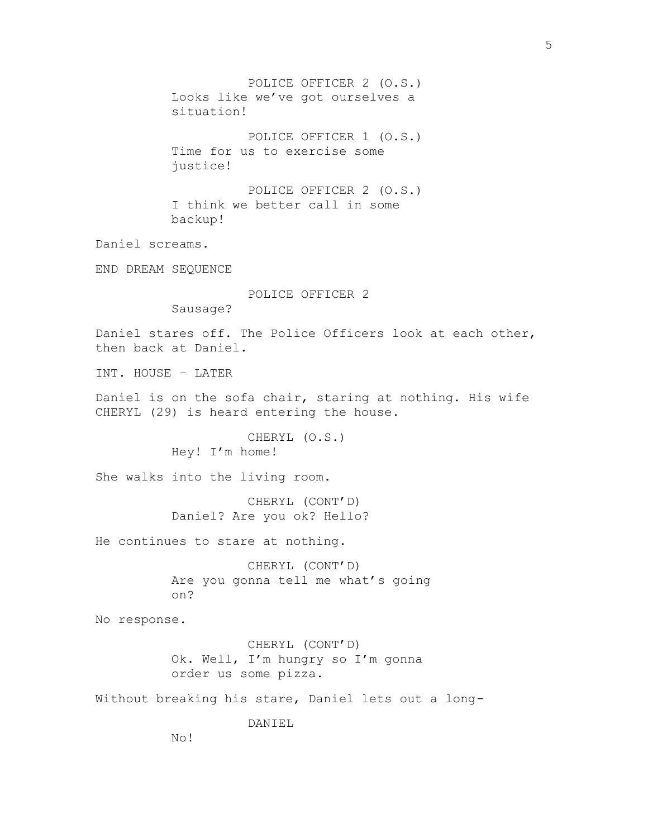POLICE OFFICER 2 (O.S.) Looks like we've got ourselves a situation! POLICE OFFICER 1 (O.S.) Time for us to exercise some justice! POLICE OFFICER 2 (O.S.) I think we better call in some backup! Daniel screams. END DREAM SEQUENCE POLICE OFFICER 2 Sausage? Daniel stares off. The Police Officers look at each other, then back at Daniel. INT. HOUSE – LATER Daniel is on the sofa chair, staring at nothing. His wife CHERYL (29) is heard entering the house. CHERYL (O.S.) Hey! I'm home! She walks into the living room. CHERYL (CONT'D) Daniel? Are you ok? Hello? He continues to stare at nothing. CHERYL (CONT'D) Are you gonna tell me what's going on? No response. CHERYL (CONT'D) Ok. Well, I'm hungry so I'm gonna order us some pizza. Without breaking his stare, Daniel lets out a long-DANIEL No!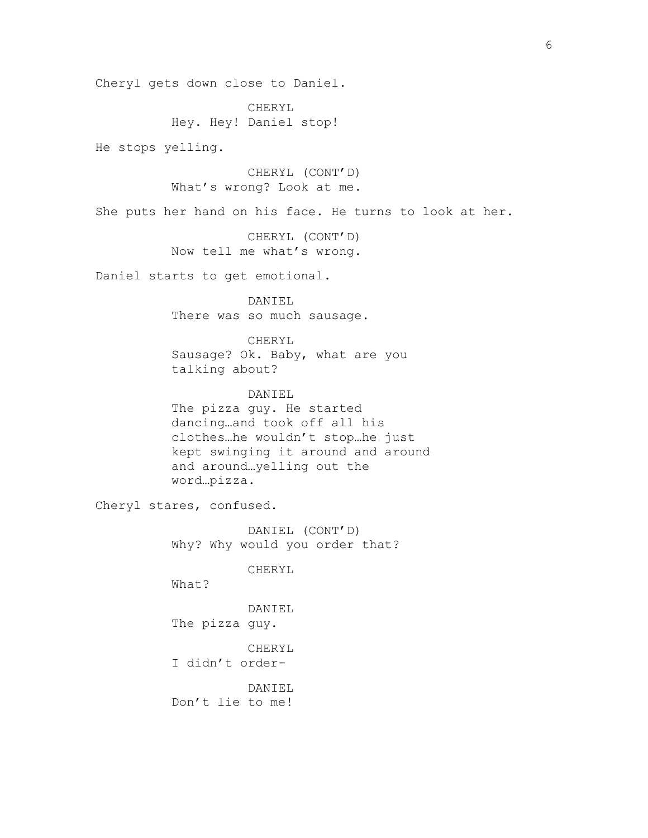Cheryl gets down close to Daniel.

CHERYL Hey. Hey! Daniel stop!

He stops yelling.

CHERYL (CONT'D) What's wrong? Look at me.

She puts her hand on his face. He turns to look at her.

CHERYL (CONT'D) Now tell me what's wrong.

Daniel starts to get emotional.

DANIEL There was so much sausage.

CHERYL

Sausage? Ok. Baby, what are you talking about?

DANIEL The pizza guy. He started dancing…and took off all his clothes…he wouldn't stop…he just kept swinging it around and around and around…yelling out the word…pizza.

Cheryl stares, confused.

DANIEL (CONT'D) Why? Why would you order that?

CHERYL

What?

DANIEL

The pizza guy.

CHERYL

I didn't order-

DANIEL Don't lie to me!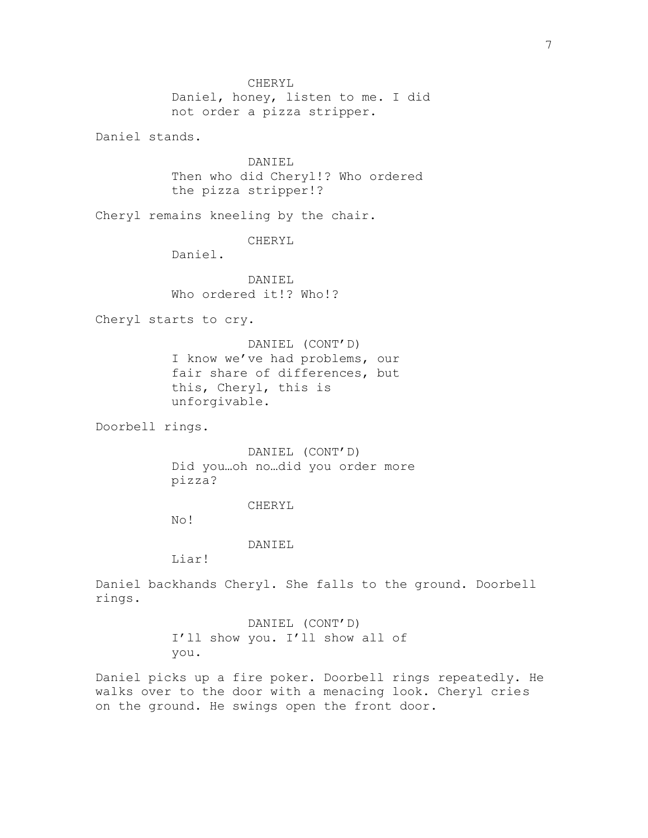CHERYL Daniel, honey, listen to me. I did not order a pizza stripper. Daniel stands. DANIEL Then who did Cheryl!? Who ordered the pizza stripper!? Cheryl remains kneeling by the chair. CHERYL Daniel. DANIEL Who ordered it!? Who!? Cheryl starts to cry. DANIEL (CONT'D) I know we've had problems, our fair share of differences, but this, Cheryl, this is unforgivable. Doorbell rings. DANIEL (CONT'D) Did you…oh no…did you order more pizza? CHERYL No! DANIEL Liar! Daniel backhands Cheryl. She falls to the ground. Doorbell rings. DANIEL (CONT'D) I'll show you. I'll show all of you. Daniel picks up a fire poker. Doorbell rings repeatedly. He walks over to the door with a menacing look. Cheryl cries on the ground. He swings open the front door.